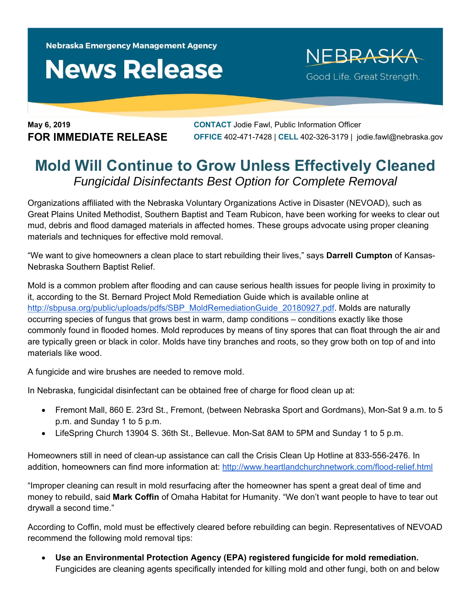Nebraska Emergency Management Agency

## **News Release**

NEBRASKA Good Life. Great Strength.

**May 6, 2019 CONTACT** Jodie Fawl, Public Information Officer **FOR IMMEDIATE RELEASE OFFICE** 402-471-7428 | **CELL** 402-326-3179 | jodie.fawl@nebraska.gov

## **Mold Will Continue to Grow Unless Effectively Cleaned**  *Fungicidal Disinfectants Best Option for Complete Removal*

Organizations affiliated with the Nebraska Voluntary Organizations Active in Disaster (NEVOAD), such as Great Plains United Methodist, Southern Baptist and Team Rubicon, have been working for weeks to clear out mud, debris and flood damaged materials in affected homes. These groups advocate using proper cleaning materials and techniques for effective mold removal.

"We want to give homeowners a clean place to start rebuilding their lives," says **Darrell Cumpton** of Kansas-Nebraska Southern Baptist Relief.

Mold is a common problem after flooding and can cause serious health issues for people living in proximity to it, according to the St. Bernard Project Mold Remediation Guide which is available online at http://sbpusa.org/public/uploads/pdfs/SBP\_MoldRemediationGuide\_20180927.pdf. Molds are naturally occurring species of fungus that grows best in warm, damp conditions – conditions exactly like those commonly found in flooded homes. Mold reproduces by means of tiny spores that can float through the air and are typically green or black in color. Molds have tiny branches and roots, so they grow both on top of and into materials like wood.

A fungicide and wire brushes are needed to remove mold.

In Nebraska, fungicidal disinfectant can be obtained free of charge for flood clean up at:

- Fremont Mall, 860 E. 23rd St., Fremont, (between Nebraska Sport and Gordmans), Mon-Sat 9 a.m. to 5 p.m. and Sunday 1 to 5 p.m.
- LifeSpring Church 13904 S. 36th St., Bellevue. Mon-Sat 8AM to 5PM and Sunday 1 to 5 p.m.

Homeowners still in need of clean-up assistance can call the Crisis Clean Up Hotline at 833-556-2476. In addition, homeowners can find more information at: http://www.heartlandchurchnetwork.com/flood-relief.html

"Improper cleaning can result in mold resurfacing after the homeowner has spent a great deal of time and money to rebuild, said **Mark Coffin** of Omaha Habitat for Humanity. "We don't want people to have to tear out drywall a second time."

According to Coffin, mold must be effectively cleared before rebuilding can begin. Representatives of NEVOAD recommend the following mold removal tips:

 **Use an Environmental Protection Agency (EPA) registered fungicide for mold remediation.** Fungicides are cleaning agents specifically intended for killing mold and other fungi, both on and below